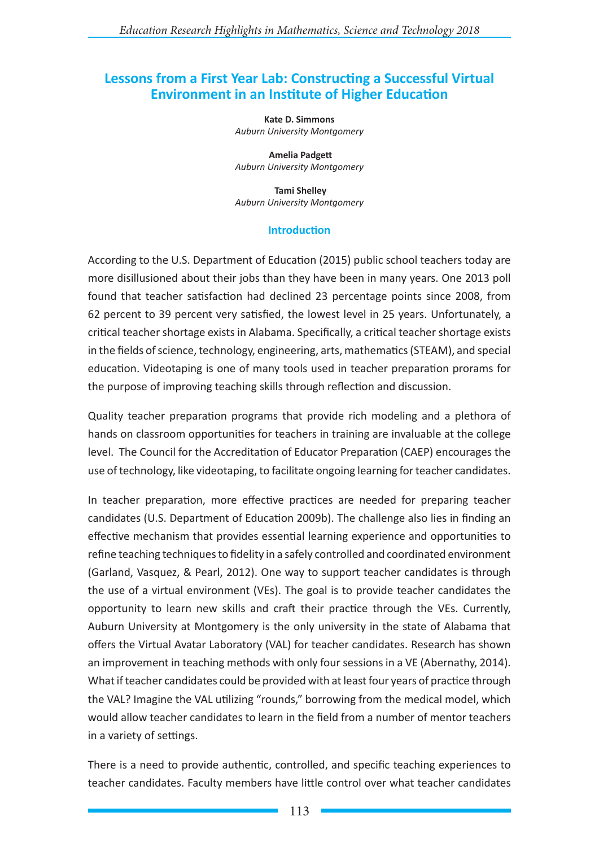# **Lessons from a First Year Lab: Constructing a Successful Virtual Environment in an Institute of Higher Education**

**Kate D. Simmons** *Auburn University Montgomery*

 **Amelia Padgett** *Auburn University Montgomery*

 **Tami Shelley** *Auburn University Montgomery*

#### **Introduction**

According to the U.S. Department of Education (2015) public school teachers today are more disillusioned about their jobs than they have been in many years. One 2013 poll found that teacher satisfaction had declined 23 percentage points since 2008, from 62 percent to 39 percent very satisfied, the lowest level in 25 years. Unfortunately, a critical teacher shortage exists in Alabama. Specifically, a critical teacher shortage exists in the fields of science, technology, engineering, arts, mathematics (STEAM), and special education. Videotaping is one of many tools used in teacher preparation prorams for the purpose of improving teaching skills through reflection and discussion.

Quality teacher preparation programs that provide rich modeling and a plethora of hands on classroom opportunities for teachers in training are invaluable at the college level. The Council for the Accreditation of Educator Preparation (CAEP) encourages the use of technology, like videotaping, to facilitate ongoing learning for teacher candidates.

In teacher preparation, more effective practices are needed for preparing teacher candidates (U.S. Department of Education 2009b). The challenge also lies in finding an effective mechanism that provides essential learning experience and opportunities to refine teaching techniques to fidelity in a safely controlled and coordinated environment (Garland, Vasquez, & Pearl, 2012). One way to support teacher candidates is through the use of a virtual environment (VEs). The goal is to provide teacher candidates the opportunity to learn new skills and craft their practice through the VEs. Currently, Auburn University at Montgomery is the only university in the state of Alabama that offers the Virtual Avatar Laboratory (VAL) for teacher candidates. Research has shown an improvement in teaching methods with only four sessions in a VE (Abernathy, 2014). What if teacher candidates could be provided with at least four years of practice through the VAL? Imagine the VAL utilizing "rounds," borrowing from the medical model, which would allow teacher candidates to learn in the field from a number of mentor teachers in a variety of settings.

There is a need to provide authentic, controlled, and specific teaching experiences to teacher candidates. Faculty members have little control over what teacher candidates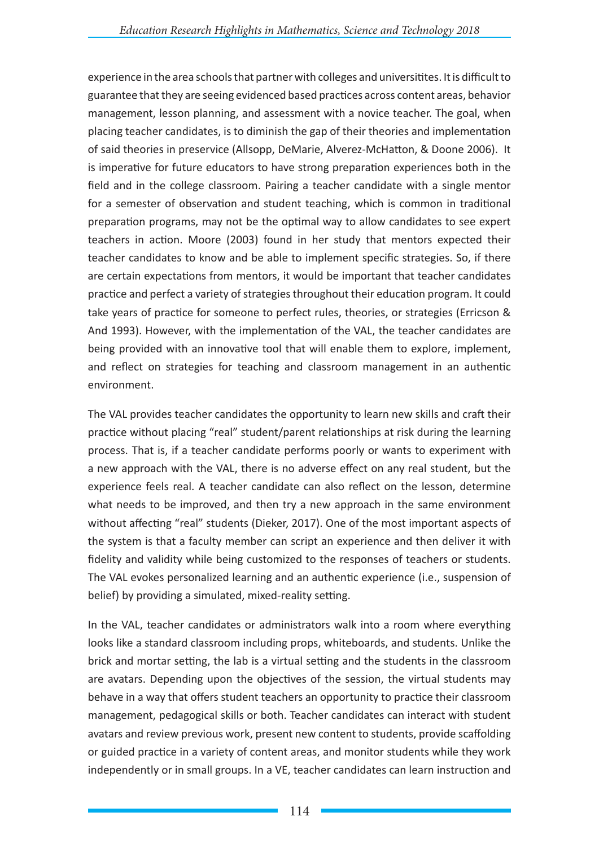experience in the area schools that partner with colleges and universitites. It is difficult to guarantee that they are seeing evidenced based practices across content areas, behavior management, lesson planning, and assessment with a novice teacher. The goal, when placing teacher candidates, is to diminish the gap of their theories and implementation of said theories in preservice (Allsopp, DeMarie, Alverez-McHatton, & Doone 2006). It is imperative for future educators to have strong preparation experiences both in the field and in the college classroom. Pairing a teacher candidate with a single mentor for a semester of observation and student teaching, which is common in traditional preparation programs, may not be the optimal way to allow candidates to see expert teachers in action. Moore (2003) found in her study that mentors expected their teacher candidates to know and be able to implement specific strategies. So, if there are certain expectations from mentors, it would be important that teacher candidates practice and perfect a variety of strategies throughout their education program. It could take years of practice for someone to perfect rules, theories, or strategies (Erricson & And 1993). However, with the implementation of the VAL, the teacher candidates are being provided with an innovative tool that will enable them to explore, implement, and reflect on strategies for teaching and classroom management in an authentic environment.

The VAL provides teacher candidates the opportunity to learn new skills and craft their practice without placing "real" student/parent relationships at risk during the learning process. That is, if a teacher candidate performs poorly or wants to experiment with a new approach with the VAL, there is no adverse effect on any real student, but the experience feels real. A teacher candidate can also reflect on the lesson, determine what needs to be improved, and then try a new approach in the same environment without affecting "real" students (Dieker, 2017). One of the most important aspects of the system is that a faculty member can script an experience and then deliver it with fidelity and validity while being customized to the responses of teachers or students. The VAL evokes personalized learning and an authentic experience (i.e., suspension of belief) by providing a simulated, mixed-reality setting.

In the VAL, teacher candidates or administrators walk into a room where everything looks like a standard classroom including props, whiteboards, and students. Unlike the brick and mortar setting, the lab is a virtual setting and the students in the classroom are avatars. Depending upon the objectives of the session, the virtual students may behave in a way that offers student teachers an opportunity to practice their classroom management, pedagogical skills or both. Teacher candidates can interact with student avatars and review previous work, present new content to students, provide scaffolding or guided practice in a variety of content areas, and monitor students while they work independently or in small groups. In a VE, teacher candidates can learn instruction and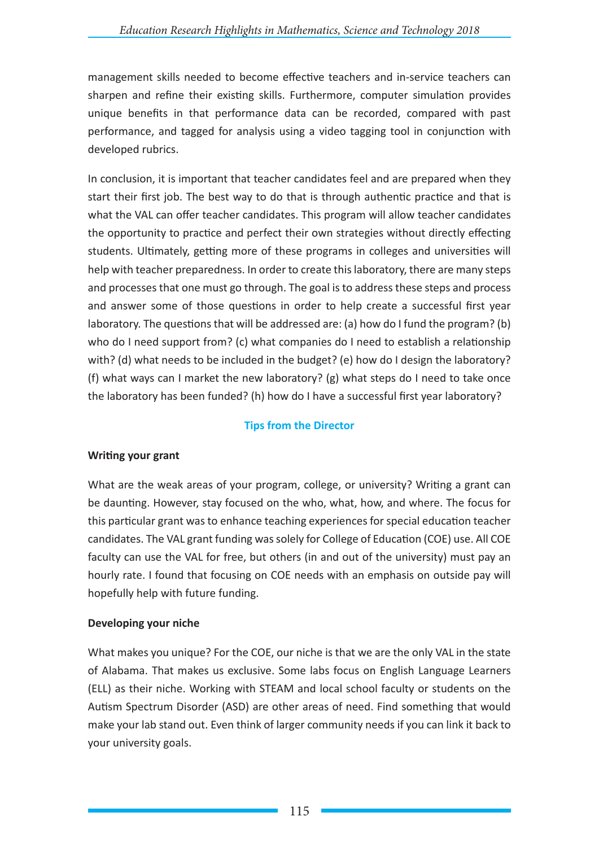management skills needed to become effective teachers and in-service teachers can sharpen and refine their existing skills. Furthermore, computer simulation provides unique benefits in that performance data can be recorded, compared with past performance, and tagged for analysis using a video tagging tool in conjunction with developed rubrics.

In conclusion, it is important that teacher candidates feel and are prepared when they start their first job. The best way to do that is through authentic practice and that is what the VAL can offer teacher candidates. This program will allow teacher candidates the opportunity to practice and perfect their own strategies without directly effecting students. Ultimately, getting more of these programs in colleges and universities will help with teacher preparedness. In order to create this laboratory, there are many steps and processes that one must go through. The goal is to address these steps and process and answer some of those questions in order to help create a successful first year laboratory. The questions that will be addressed are: (a) how do I fund the program? (b) who do I need support from? (c) what companies do I need to establish a relationship with? (d) what needs to be included in the budget? (e) how do I design the laboratory? (f) what ways can I market the new laboratory? (g) what steps do I need to take once the laboratory has been funded? (h) how do I have a successful first year laboratory?

# **Tips from the Director**

# **Writing your grant**

What are the weak areas of your program, college, or university? Writing a grant can be daunting. However, stay focused on the who, what, how, and where. The focus for this particular grant was to enhance teaching experiences for special education teacher candidates. The VAL grant funding was solely for College of Education (COE) use. All COE faculty can use the VAL for free, but others (in and out of the university) must pay an hourly rate. I found that focusing on COE needs with an emphasis on outside pay will hopefully help with future funding.

# **Developing your niche**

What makes you unique? For the COE, our niche is that we are the only VAL in the state of Alabama. That makes us exclusive. Some labs focus on English Language Learners (ELL) as their niche. Working with STEAM and local school faculty or students on the Autism Spectrum Disorder (ASD) are other areas of need. Find something that would make your lab stand out. Even think of larger community needs if you can link it back to your university goals.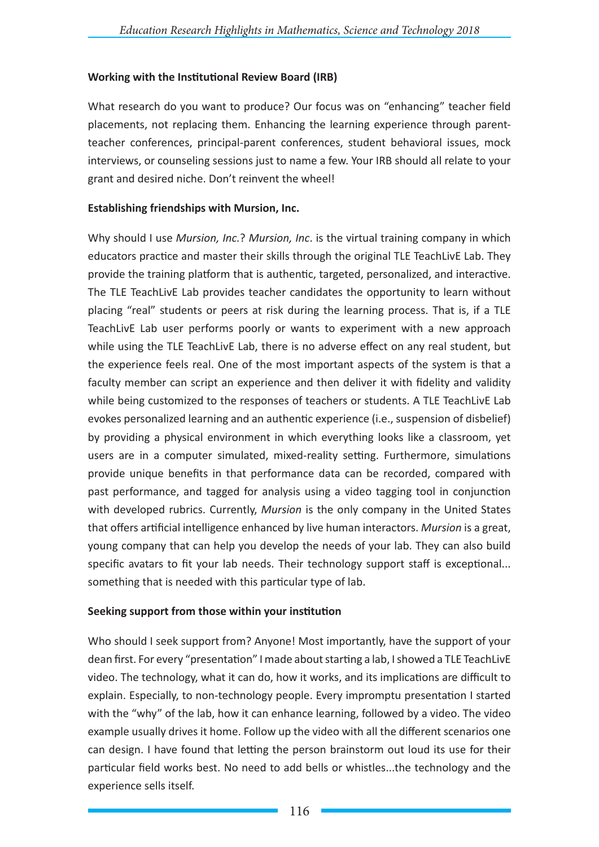### **Working with the Institutional Review Board (IRB)**

What research do you want to produce? Our focus was on "enhancing" teacher field placements, not replacing them. Enhancing the learning experience through parentteacher conferences, principal-parent conferences, student behavioral issues, mock interviews, or counseling sessions just to name a few. Your IRB should all relate to your grant and desired niche. Don't reinvent the wheel!

#### **Establishing friendships with Mursion, Inc.**

Why should I use *Mursion, Inc.*? *Mursion, Inc*. is the virtual training company in which educators practice and master their skills through the original TLE TeachLivE Lab. They provide the training platform that is authentic, targeted, personalized, and interactive. The TLE TeachLivE Lab provides teacher candidates the opportunity to learn without placing "real" students or peers at risk during the learning process. That is, if a TLE TeachLivE Lab user performs poorly or wants to experiment with a new approach while using the TLE TeachLivE Lab, there is no adverse effect on any real student, but the experience feels real. One of the most important aspects of the system is that a faculty member can script an experience and then deliver it with fidelity and validity while being customized to the responses of teachers or students. A TLE TeachLivE Lab evokes personalized learning and an authentic experience (i.e., suspension of disbelief) by providing a physical environment in which everything looks like a classroom, yet users are in a computer simulated, mixed-reality setting. Furthermore, simulations provide unique benefits in that performance data can be recorded, compared with past performance, and tagged for analysis using a video tagging tool in conjunction with developed rubrics. Currently, *Mursion* is the only company in the United States that offers artificial intelligence enhanced by live human interactors. *Mursion* is a great, young company that can help you develop the needs of your lab. They can also build specific avatars to fit your lab needs. Their technology support staff is exceptional... something that is needed with this particular type of lab.

### **Seeking support from those within your institution**

Who should I seek support from? Anyone! Most importantly, have the support of your dean first. For every "presentation" I made about starting a lab, I showed a TLE TeachLivE video. The technology, what it can do, how it works, and its implications are difficult to explain. Especially, to non-technology people. Every impromptu presentation I started with the "why" of the lab, how it can enhance learning, followed by a video. The video example usually drives it home. Follow up the video with all the different scenarios one can design. I have found that letting the person brainstorm out loud its use for their particular field works best. No need to add bells or whistles...the technology and the experience sells itself.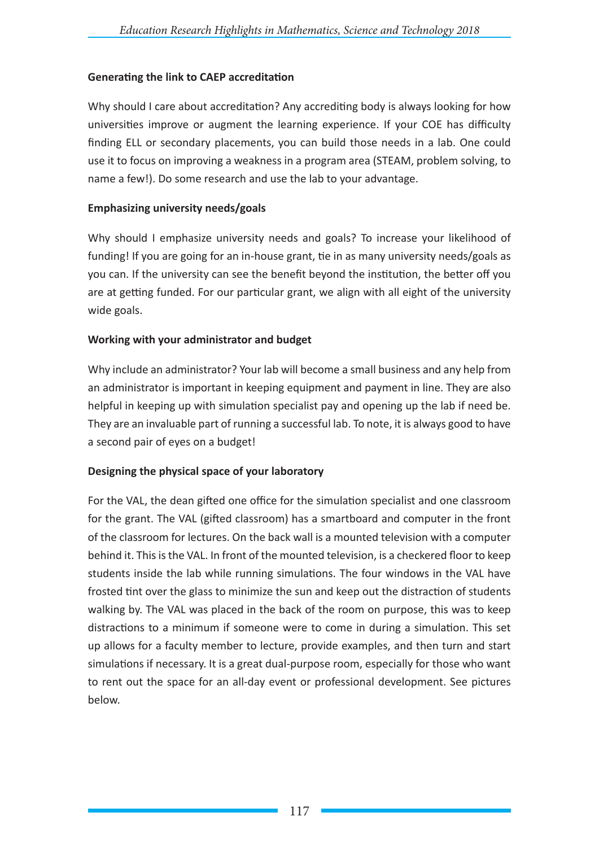# **Generating the link to CAEP accreditation**

Why should I care about accreditation? Any accrediting body is always looking for how universities improve or augment the learning experience. If your COE has difficulty finding ELL or secondary placements, you can build those needs in a lab. One could use it to focus on improving a weakness in a program area (STEAM, problem solving, to name a few!). Do some research and use the lab to your advantage.

### **Emphasizing university needs/goals**

Why should I emphasize university needs and goals? To increase your likelihood of funding! If you are going for an in-house grant, tie in as many university needs/goals as you can. If the university can see the benefit beyond the institution, the better off you are at getting funded. For our particular grant, we align with all eight of the university wide goals.

# **Working with your administrator and budget**

Why include an administrator? Your lab will become a small business and any help from an administrator is important in keeping equipment and payment in line. They are also helpful in keeping up with simulation specialist pay and opening up the lab if need be. They are an invaluable part of running a successful lab. To note, it is always good to have a second pair of eyes on a budget!

# **Designing the physical space of your laboratory**

For the VAL, the dean gifted one office for the simulation specialist and one classroom for the grant. The VAL (gifted classroom) has a smartboard and computer in the front of the classroom for lectures. On the back wall is a mounted television with a computer behind it. This is the VAL. In front of the mounted television, is a checkered floor to keep students inside the lab while running simulations. The four windows in the VAL have frosted tint over the glass to minimize the sun and keep out the distraction of students walking by. The VAL was placed in the back of the room on purpose, this was to keep distractions to a minimum if someone were to come in during a simulation. This set up allows for a faculty member to lecture, provide examples, and then turn and start simulations if necessary. It is a great dual-purpose room, especially for those who want to rent out the space for an all-day event or professional development. See pictures below.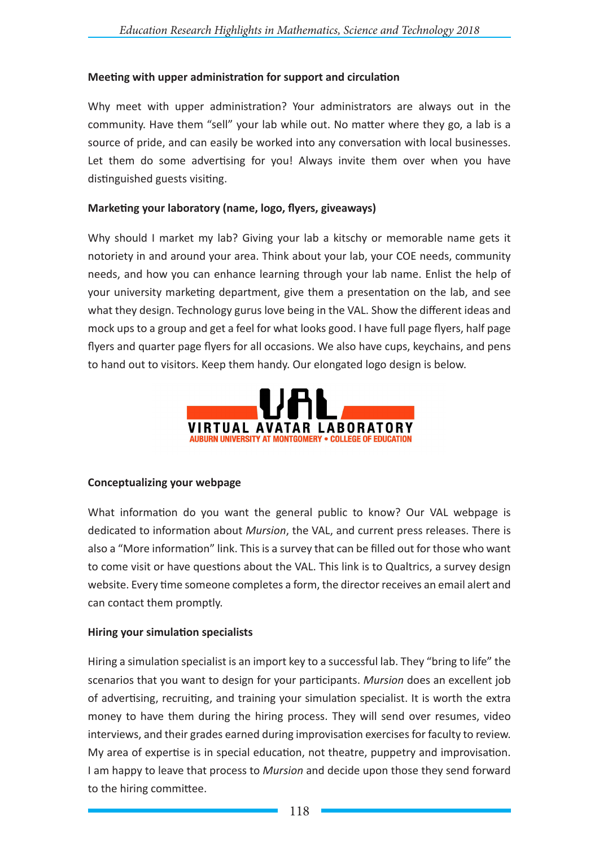### **Meeting with upper administration for support and circulation**

Why meet with upper administration? Your administrators are always out in the community. Have them "sell" your lab while out. No matter where they go, a lab is a source of pride, and can easily be worked into any conversation with local businesses. Let them do some advertising for you! Always invite them over when you have distinguished guests visiting.

### **Marketing your laboratory (name, logo, flyers, giveaways)**

Why should I market my lab? Giving your lab a kitschy or memorable name gets it notoriety in and around your area. Think about your lab, your COE needs, community needs, and how you can enhance learning through your lab name. Enlist the help of your university marketing department, give them a presentation on the lab, and see what they design. Technology gurus love being in the VAL. Show the different ideas and mock ups to a group and get a feel for what looks good. I have full page flyers, half page flyers and quarter page flyers for all occasions. We also have cups, keychains, and pens to hand out to visitors. Keep them handy. Our elongated logo design is below.



### **Conceptualizing your webpage**

What information do you want the general public to know? Our VAL webpage is dedicated to information about *Mursion*, the VAL, and current press releases. There is also a "More information" link. This is a survey that can be filled out for those who want to come visit or have questions about the VAL. This link is to Qualtrics, a survey design website. Every time someone completes a form, the director receives an email alert and can contact them promptly.

### **Hiring your simulation specialists**

Hiring a simulation specialist is an import key to a successful lab. They "bring to life" the scenarios that you want to design for your participants. *Mursion* does an excellent job of advertising, recruiting, and training your simulation specialist. It is worth the extra money to have them during the hiring process. They will send over resumes, video interviews, and their grades earned during improvisation exercises for faculty to review. My area of expertise is in special education, not theatre, puppetry and improvisation. I am happy to leave that process to *Mursion* and decide upon those they send forward to the hiring committee.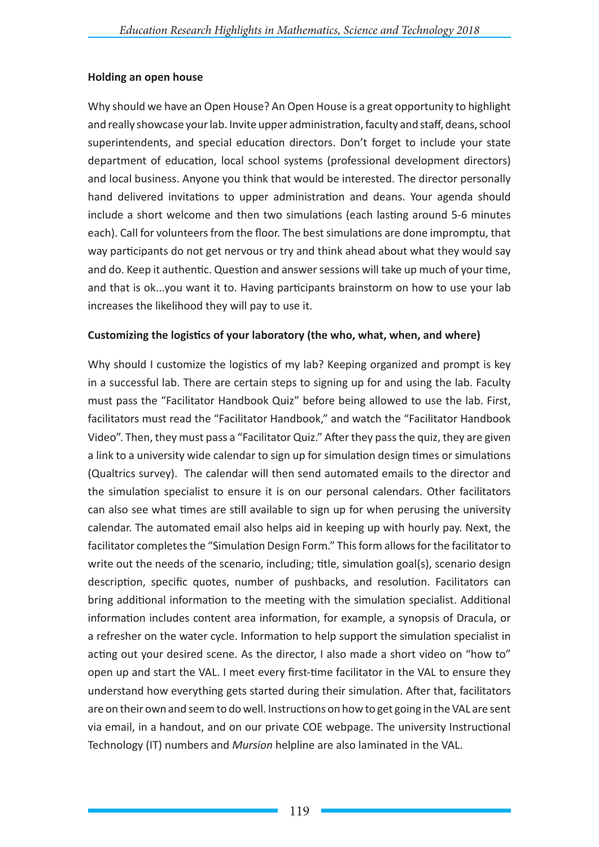### **Holding an open house**

Why should we have an Open House? An Open House is a great opportunity to highlight and really showcase your lab. Invite upper administration, faculty and staff, deans, school superintendents, and special education directors. Don't forget to include your state department of education, local school systems (professional development directors) and local business. Anyone you think that would be interested. The director personally hand delivered invitations to upper administration and deans. Your agenda should include a short welcome and then two simulations (each lasting around 5-6 minutes each). Call for volunteers from the floor. The best simulations are done impromptu, that way participants do not get nervous or try and think ahead about what they would say and do. Keep it authentic. Question and answer sessions will take up much of your time, and that is ok...you want it to. Having participants brainstorm on how to use your lab increases the likelihood they will pay to use it.

# **Customizing the logistics of your laboratory (the who, what, when, and where)**

Why should I customize the logistics of my lab? Keeping organized and prompt is key in a successful lab. There are certain steps to signing up for and using the lab. Faculty must pass the "Facilitator Handbook Quiz" before being allowed to use the lab. First, facilitators must read the "Facilitator Handbook," and watch the "Facilitator Handbook Video". Then, they must pass a "Facilitator Quiz." After they pass the quiz, they are given a link to a university wide calendar to sign up for simulation design times or simulations (Qualtrics survey). The calendar will then send automated emails to the director and the simulation specialist to ensure it is on our personal calendars. Other facilitators can also see what times are still available to sign up for when perusing the university calendar. The automated email also helps aid in keeping up with hourly pay. Next, the facilitator completes the "Simulation Design Form." This form allows for the facilitator to write out the needs of the scenario, including; title, simulation goal(s), scenario design description, specific quotes, number of pushbacks, and resolution. Facilitators can bring additional information to the meeting with the simulation specialist. Additional information includes content area information, for example, a synopsis of Dracula, or a refresher on the water cycle. Information to help support the simulation specialist in acting out your desired scene. As the director, I also made a short video on "how to" open up and start the VAL. I meet every first-time facilitator in the VAL to ensure they understand how everything gets started during their simulation. After that, facilitators are on their own and seem to do well. Instructions on how to get going in the VAL are sent via email, in a handout, and on our private COE webpage. The university Instructional Technology (IT) numbers and *Mursion* helpline are also laminated in the VAL.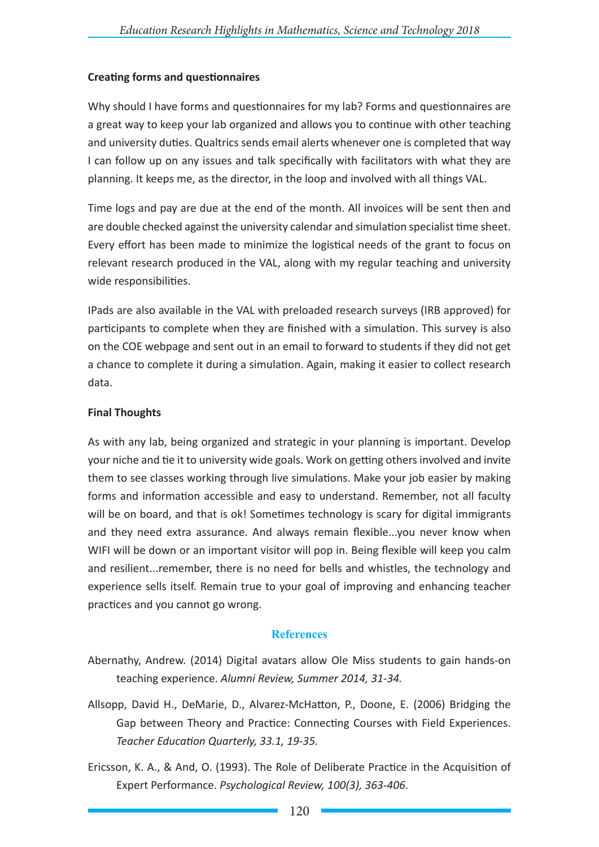# **Creating forms and questionnaires**

Why should I have forms and questionnaires for my lab? Forms and questionnaires are a great way to keep your lab organized and allows you to continue with other teaching and university duties. Qualtrics sends email alerts whenever one is completed that way I can follow up on any issues and talk specifically with facilitators with what they are planning. It keeps me, as the director, in the loop and involved with all things VAL.

Time logs and pay are due at the end of the month. All invoices will be sent then and are double checked against the university calendar and simulation specialist time sheet. Every effort has been made to minimize the logistical needs of the grant to focus on relevant research produced in the VAL, along with my regular teaching and university wide responsibilities.

IPads are also available in the VAL with preloaded research surveys (IRB approved) for participants to complete when they are finished with a simulation. This survey is also on the COE webpage and sent out in an email to forward to students if they did not get a chance to complete it during a simulation. Again, making it easier to collect research data.

# **Final Thoughts**

As with any lab, being organized and strategic in your planning is important. Develop your niche and tie it to university wide goals. Work on getting others involved and invite them to see classes working through live simulations. Make your job easier by making forms and information accessible and easy to understand. Remember, not all faculty will be on board, and that is ok! Sometimes technology is scary for digital immigrants and they need extra assurance. And always remain flexible...you never know when WIFI will be down or an important visitor will pop in. Being flexible will keep you calm and resilient...remember, there is no need for bells and whistles, the technology and experience sells itself. Remain true to your goal of improving and enhancing teacher practices and you cannot go wrong.

### **References**

- Abernathy, Andrew. (2014) Digital avatars allow Ole Miss students to gain hands-on teaching experience. *Alumni Review, Summer 2014, 31-34.*
- Allsopp, David H., DeMarie, D., Alvarez-McHatton, P., Doone, E. (2006) Bridging the Gap between Theory and Practice: Connecting Courses with Field Experiences. *Teacher Education Quarterly, 33.1, 19-35.*
- Ericsson, K. A., & And, O. (1993). The Role of Deliberate Practice in the Acquisition of Expert Performance. *Psychological Review, 100(3), 363-406*.